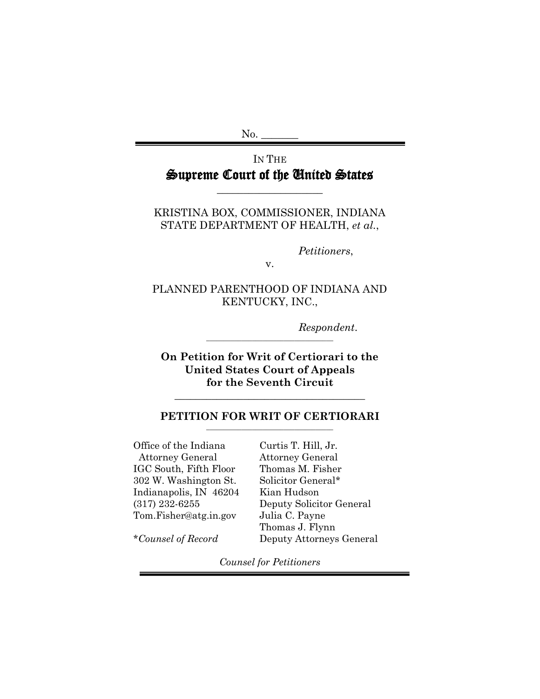$No.$ 

# IN THE Supreme Court of the United States

\_\_\_\_\_\_\_\_\_\_\_\_\_\_\_\_\_\_\_\_

KRISTINA BOX, COMMISSIONER, INDIANA STATE DEPARTMENT OF HEALTH, *et al.*,

*Petitioners*,

v.

PLANNED PARENTHOOD OF INDIANA AND KENTUCKY, INC.,

*Respondent*.

**On Petition for Writ of Certiorari to the United States Court of Appeals for the Seventh Circuit**

**\_\_\_\_\_\_\_\_\_\_\_\_\_\_\_\_\_\_\_\_\_\_\_\_\_\_\_\_\_\_\_\_\_\_\_\_** 

### **PETITION FOR WRIT OF CERTIORARI**

**\_\_\_\_\_\_\_\_\_\_\_\_\_\_\_\_\_\_\_\_\_\_\_\_\_\_\_\_\_\_\_\_\_\_\_\_** 

Office of the Indiana Attorney General IGC South, Fifth Floor 302 W. Washington St. Indianapolis, IN 46204 (317) 232-6255 Tom.Fisher@atg.in.gov

Curtis T. Hill, Jr. Attorney General Thomas M. Fisher Solicitor General\* Kian Hudson Deputy Solicitor General Julia C. Payne Thomas J. Flynn Deputy Attorneys General

\**Counsel of Record*

*Counsel for Petitioners*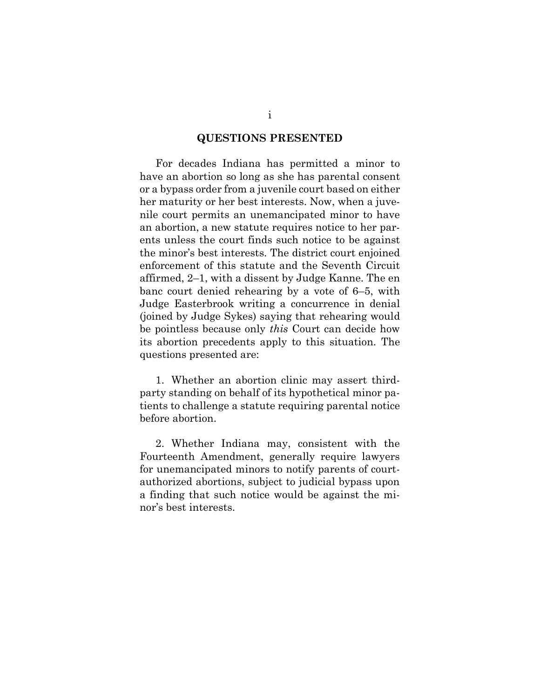#### **QUESTIONS PRESENTED**

For decades Indiana has permitted a minor to have an abortion so long as she has parental consent or a bypass order from a juvenile court based on either her maturity or her best interests. Now, when a juvenile court permits an unemancipated minor to have an abortion, a new statute requires notice to her parents unless the court finds such notice to be against the minor's best interests. The district court enjoined enforcement of this statute and the Seventh Circuit affirmed, 2–1, with a dissent by Judge Kanne. The en banc court denied rehearing by a vote of 6–5, with Judge Easterbrook writing a concurrence in denial (joined by Judge Sykes) saying that rehearing would be pointless because only *this* Court can decide how its abortion precedents apply to this situation. The questions presented are:

1. Whether an abortion clinic may assert thirdparty standing on behalf of its hypothetical minor patients to challenge a statute requiring parental notice before abortion.

2. Whether Indiana may, consistent with the Fourteenth Amendment, generally require lawyers for unemancipated minors to notify parents of courtauthorized abortions, subject to judicial bypass upon a finding that such notice would be against the minor's best interests.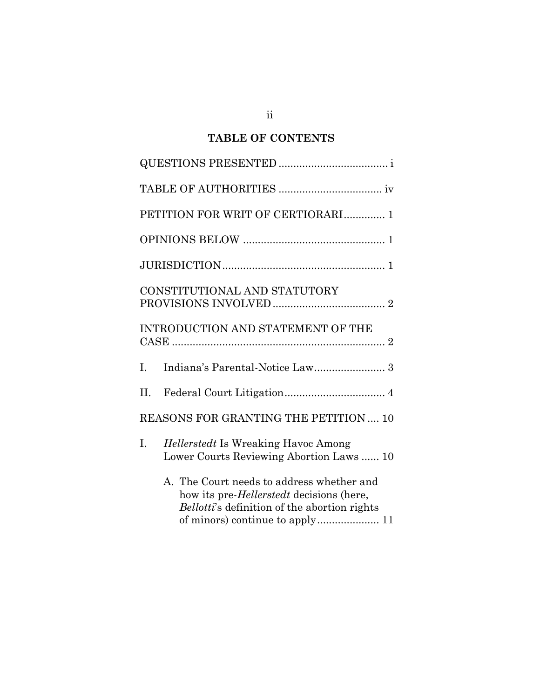# **TABLE OF CONTENTS**

|    | PETITION FOR WRIT OF CERTIORARI 1                                                                                                             |
|----|-----------------------------------------------------------------------------------------------------------------------------------------------|
|    |                                                                                                                                               |
|    |                                                                                                                                               |
|    | CONSTITUTIONAL AND STATUTORY                                                                                                                  |
|    | INTRODUCTION AND STATEMENT OF THE                                                                                                             |
| Ι. |                                                                                                                                               |
| Η. |                                                                                                                                               |
|    | REASONS FOR GRANTING THE PETITION  10                                                                                                         |
| I. | <i>Hellerstedt</i> Is Wreaking Havoc Among<br>Lower Courts Reviewing Abortion Laws  10                                                        |
|    | A. The Court needs to address whether and<br>how its pre- <i>Hellerstedt</i> decisions (here,<br>Bellotti's definition of the abortion rights |

ii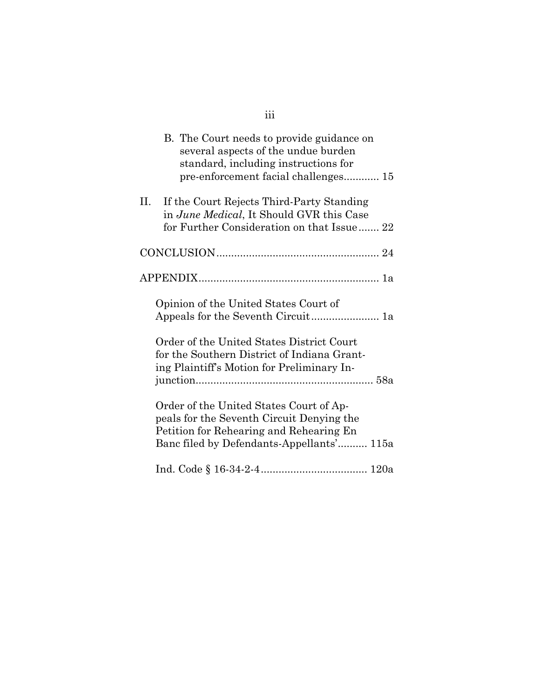|      | B. The Court needs to provide guidance on<br>several aspects of the undue burden<br>standard, including instructions for<br>pre-enforcement facial challenges 15             |  |
|------|------------------------------------------------------------------------------------------------------------------------------------------------------------------------------|--|
| П. – | If the Court Rejects Third-Party Standing<br>in June Medical, It Should GVR this Case<br>for Further Consideration on that Issue 22                                          |  |
|      |                                                                                                                                                                              |  |
|      |                                                                                                                                                                              |  |
|      | Opinion of the United States Court of                                                                                                                                        |  |
|      | Order of the United States District Court<br>for the Southern District of Indiana Grant-<br>ing Plaintiff's Motion for Preliminary In-                                       |  |
|      | Order of the United States Court of Ap-<br>peals for the Seventh Circuit Denying the<br>Petition for Rehearing and Rehearing En<br>Banc filed by Defendants-Appellants' 115a |  |
|      |                                                                                                                                                                              |  |

iii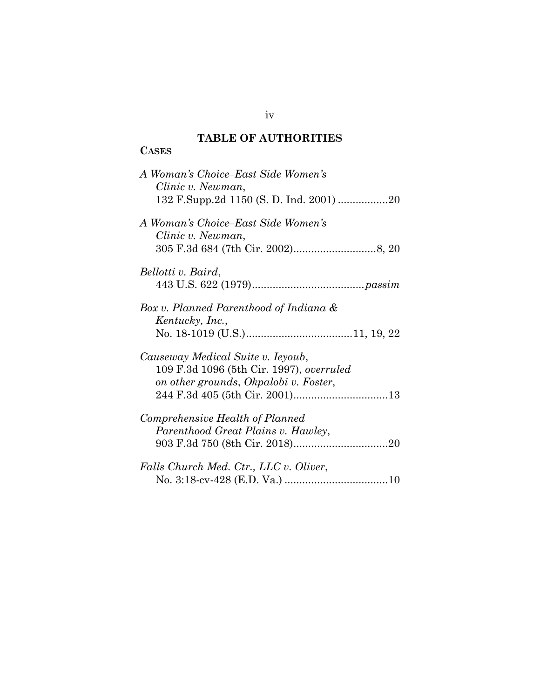# **TABLE OF AUTHORITIES**

# **CASES**

iv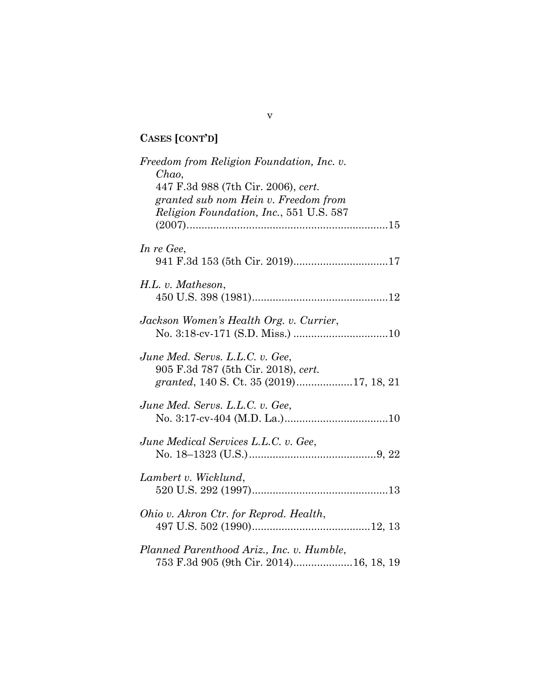# **CASES [CONT'D]**

| Freedom from Religion Foundation, Inc. v.<br>$Chao$ ,<br>447 F.3d 988 (7th Cir. 2006), cert.<br>granted sub nom Hein v. Freedom from<br>Religion Foundation, Inc., 551 U.S. 587 |  |
|---------------------------------------------------------------------------------------------------------------------------------------------------------------------------------|--|
| In re Gee,                                                                                                                                                                      |  |
| $H.L. v.$ Matheson,                                                                                                                                                             |  |
| Jackson Women's Health Org. v. Currier,                                                                                                                                         |  |
| June Med. Servs. L.L.C. v. Gee,<br>905 F.3d 787 (5th Cir. 2018), cert.                                                                                                          |  |
| June Med. Servs. L.L.C. v. Gee,                                                                                                                                                 |  |
| June Medical Services L.L.C. v. Gee,                                                                                                                                            |  |
| Lambert v. Wicklund,                                                                                                                                                            |  |
| Ohio v. Akron Ctr. for Reprod. Health,                                                                                                                                          |  |
| Planned Parenthood Ariz., Inc. v. Humble,<br>753 F.3d 905 (9th Cir. 2014)16, 18, 19                                                                                             |  |

v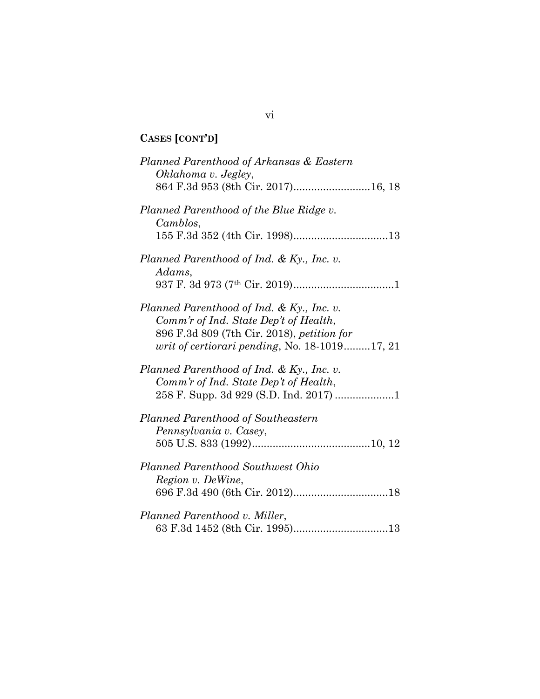# **CASES [CONT'D]**

| Planned Parenthood of Arkansas & Eastern<br>Oklahoma v. Jegley,                                                                                                                      |
|--------------------------------------------------------------------------------------------------------------------------------------------------------------------------------------|
| 864 F.3d 953 (8th Cir. 2017)16, 18                                                                                                                                                   |
| Planned Parenthood of the Blue Ridge v.<br>Camblos,                                                                                                                                  |
|                                                                                                                                                                                      |
| Planned Parenthood of Ind. & Ky., Inc. v.<br>Adams,                                                                                                                                  |
|                                                                                                                                                                                      |
| Planned Parenthood of Ind. & Ky., Inc. v.<br>Comm'r of Ind. State Dep't of Health,<br>896 F.3d 809 (7th Cir. 2018), petition for<br>writ of certiorari pending, No. $18-1019$ 17, 21 |
| Planned Parenthood of Ind. & Ky., Inc. v.<br>Comm'r of Ind. State Dep't of Health,                                                                                                   |
| Planned Parenthood of Southeastern                                                                                                                                                   |
| Pennsylvania v. Casey,                                                                                                                                                               |
| <b>Planned Parenthood Southwest Ohio</b><br>Region v. De Wine,                                                                                                                       |
|                                                                                                                                                                                      |
| Planned Parenthood v. Miller,                                                                                                                                                        |
|                                                                                                                                                                                      |

vi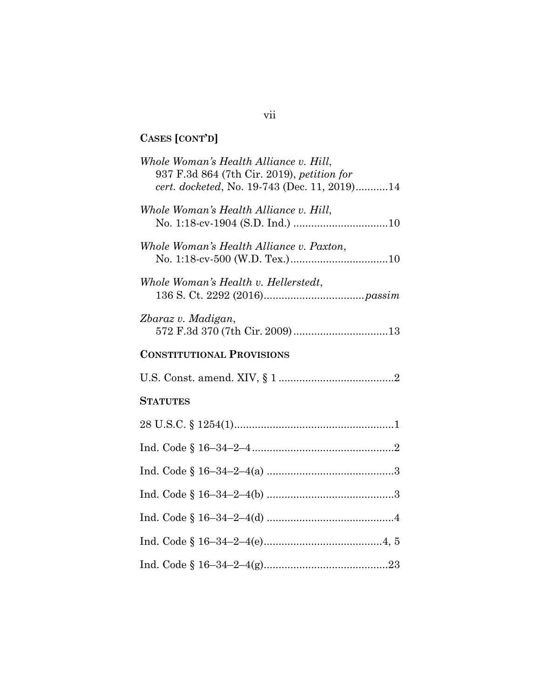# **CASES [CONT'D]**

| Whole Woman's Health Alliance v. Hill,<br>937 F.3d 864 (7th Cir. 2019), petition for |
|--------------------------------------------------------------------------------------|
| cert. docketed, No. 19-743 (Dec. 11, 2019)14                                         |
| Whole Woman's Health Alliance v. Hill,                                               |
| Whole Woman's Health Alliance v. Paxton,                                             |
| Whole Woman's Health v. Hellerstedt,                                                 |
| Zbaraz v. Madigan,                                                                   |
| <b>CONSTITUTIONAL PROVISIONS</b>                                                     |
|                                                                                      |
| <b>STATUTES</b>                                                                      |
|                                                                                      |
|                                                                                      |
|                                                                                      |
|                                                                                      |
|                                                                                      |
|                                                                                      |
|                                                                                      |

# vii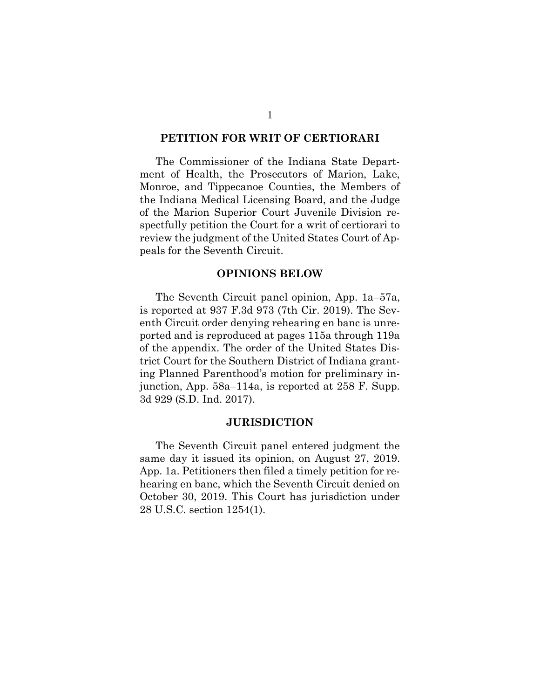#### **PETITION FOR WRIT OF CERTIORARI**

The Commissioner of the Indiana State Department of Health, the Prosecutors of Marion, Lake, Monroe, and Tippecanoe Counties, the Members of the Indiana Medical Licensing Board, and the Judge of the Marion Superior Court Juvenile Division respectfully petition the Court for a writ of certiorari to review the judgment of the United States Court of Appeals for the Seventh Circuit.

#### **OPINIONS BELOW**

The Seventh Circuit panel opinion, App. 1a–57a, is reported at 937 F.3d 973 (7th Cir. 2019). The Seventh Circuit order denying rehearing en banc is unreported and is reproduced at pages 115a through 119a of the appendix. The order of the United States District Court for the Southern District of Indiana granting Planned Parenthood's motion for preliminary injunction, App. 58a–114a, is reported at 258 F. Supp. 3d 929 (S.D. Ind. 2017).

#### <span id="page-8-0"></span>**JURISDICTION**

<span id="page-8-1"></span>The Seventh Circuit panel entered judgment the same day it issued its opinion, on August 27, 2019. App. 1a. Petitioners then filed a timely petition for rehearing en banc, which the Seventh Circuit denied on October 30, 2019. This Court has jurisdiction under 28 U.S.C. section 1254(1).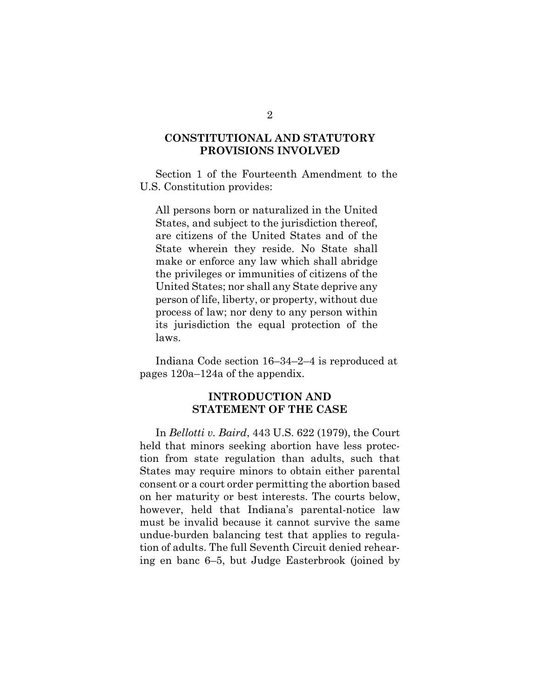### **CONSTITUTIONAL AND STATUTORY PROVISIONS INVOLVED**

Section 1 of the Fourteenth Amendment to the U.S. Constitution provides:

All persons born or naturalized in the United States, and subject to the jurisdiction thereof, are citizens of the United States and of the State wherein they reside. No State shall make or enforce any law which shall abridge the privileges or immunities of citizens of the United States; nor shall any State deprive any person of life, liberty, or property, without due process of law; nor deny to any person within its jurisdiction the equal protection of the laws.

<span id="page-9-1"></span>Indiana Code section 16–34–2–4 is reproduced at pages 120a–124a of the appendix.

#### **INTRODUCTION AND STATEMENT OF THE CASE**

<span id="page-9-0"></span>In *Bellotti v. Baird*, 443 U.S. 622 (1979), the Court held that minors seeking abortion have less protection from state regulation than adults, such that States may require minors to obtain either parental consent or a court order permitting the abortion based on her maturity or best interests. The courts below, however, held that Indiana's parental-notice law must be invalid because it cannot survive the same undue-burden balancing test that applies to regulation of adults. The full Seventh Circuit denied rehearing en banc 6–5, but Judge Easterbrook (joined by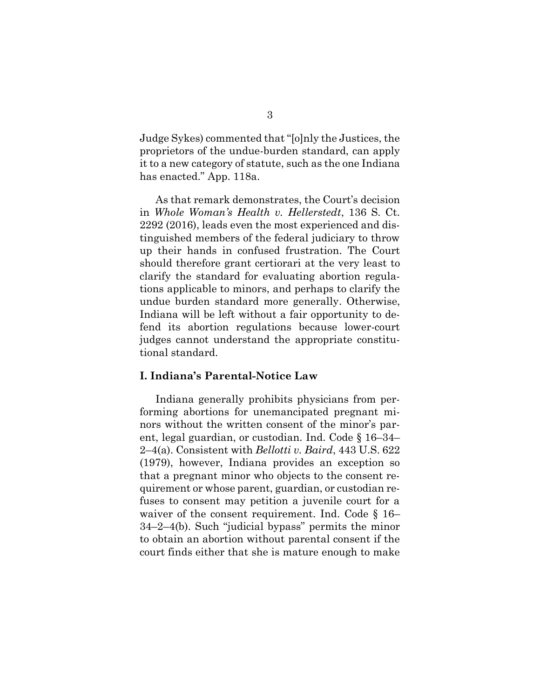Judge Sykes) commented that "[o]nly the Justices, the proprietors of the undue-burden standard, can apply it to a new category of statute, such as the one Indiana has enacted." App. 118a.

<span id="page-10-0"></span>As that remark demonstrates, the Court's decision in *Whole Woman's Health v. Hellerstedt*, 136 S. Ct. 2292 (2016), leads even the most experienced and distinguished members of the federal judiciary to throw up their hands in confused frustration. The Court should therefore grant certiorari at the very least to clarify the standard for evaluating abortion regulations applicable to minors, and perhaps to clarify the undue burden standard more generally. Otherwise, Indiana will be left without a fair opportunity to defend its abortion regulations because lower-court judges cannot understand the appropriate constitutional standard.

#### **I. Indiana's Parental-Notice Law**

<span id="page-10-2"></span><span id="page-10-1"></span>Indiana generally prohibits physicians from performing abortions for unemancipated pregnant minors without the written consent of the minor's parent, legal guardian, or custodian. Ind. Code § 16–34– 2–4(a). Consistent with *Bellotti v. Baird*, 443 U.S. 622 (1979), however, Indiana provides an exception so that a pregnant minor who objects to the consent requirement or whose parent, guardian, or custodian refuses to consent may petition a juvenile court for a waiver of the consent requirement. Ind. Code § 16– 34–2–4(b). Such "judicial bypass" permits the minor to obtain an abortion without parental consent if the court finds either that she is mature enough to make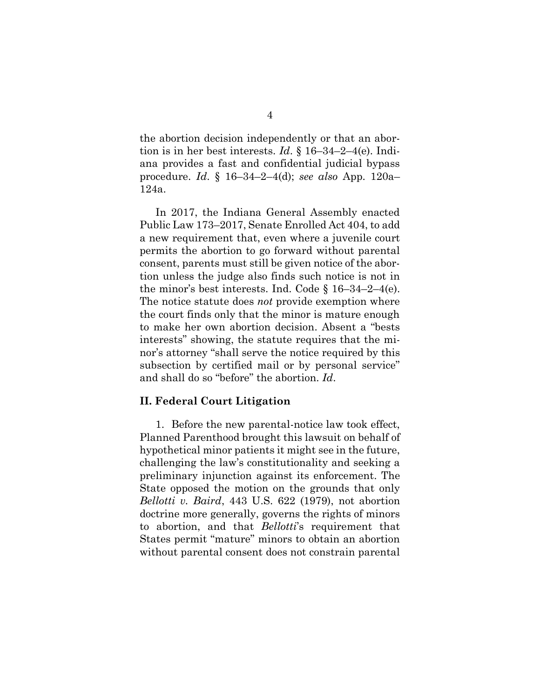the abortion decision independently or that an abortion is in her best interests. *Id*. § 16–34–2–4(e). Indiana provides a fast and confidential judicial bypass procedure. *Id*. § 16–34–2–4(d); *see also* App. 120a– 124a.

<span id="page-11-0"></span>In 2017, the Indiana General Assembly enacted Public Law 173–2017, Senate Enrolled Act 404, to add a new requirement that, even where a juvenile court permits the abortion to go forward without parental consent, parents must still be given notice of the abortion unless the judge also finds such notice is not in the minor's best interests. Ind. Code  $\S$  16–34–2–4(e). The notice statute does *not* provide exemption where the court finds only that the minor is mature enough to make her own abortion decision. Absent a "bests interests" showing, the statute requires that the minor's attorney "shall serve the notice required by this subsection by certified mail or by personal service" and shall do so "before" the abortion. *Id*.

#### **II. Federal Court Litigation**

1. Before the new parental-notice law took effect, Planned Parenthood brought this lawsuit on behalf of hypothetical minor patients it might see in the future, challenging the law's constitutionality and seeking a preliminary injunction against its enforcement. The State opposed the motion on the grounds that only *Bellotti v. Baird*, 443 U.S. 622 (1979), not abortion doctrine more generally, governs the rights of minors to abortion, and that *Bellotti*'s requirement that States permit "mature" minors to obtain an abortion without parental consent does not constrain parental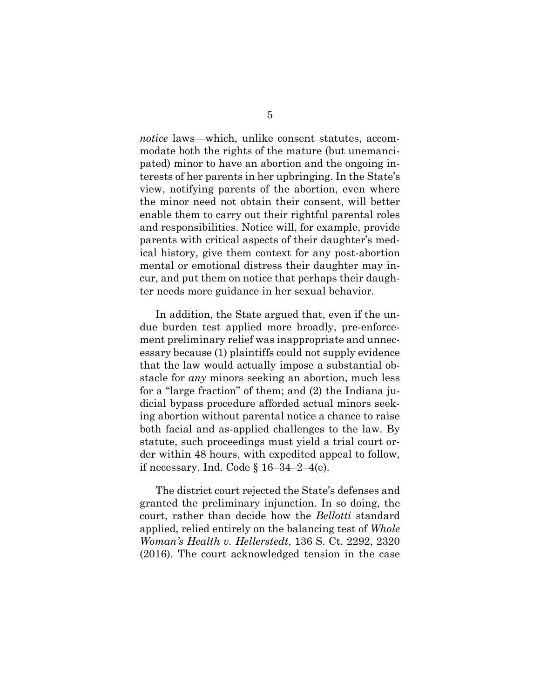*notice* laws—which, unlike consent statutes, accommodate both the rights of the mature (but unemancipated) minor to have an abortion and the ongoing interests of her parents in her upbringing. In the State's view, notifying parents of the abortion, even where the minor need not obtain their consent, will better enable them to carry out their rightful parental roles and responsibilities. Notice will, for example, provide parents with critical aspects of their daughter's medical history, give them context for any post-abortion mental or emotional distress their daughter may incur, and put them on notice that perhaps their daughter needs more guidance in her sexual behavior.

In addition, the State argued that, even if the undue burden test applied more broadly, pre-enforcement preliminary relief was inappropriate and unnecessary because (1) plaintiffs could not supply evidence that the law would actually impose a substantial obstacle for *any* minors seeking an abortion, much less for a "large fraction" of them; and (2) the Indiana judicial bypass procedure afforded actual minors seeking abortion without parental notice a chance to raise both facial and as-applied challenges to the law. By statute, such proceedings must yield a trial court order within 48 hours, with expedited appeal to follow, if necessary. Ind. Code  $\S 16-34-2-4$ (e).

<span id="page-12-0"></span>The district court rejected the State's defenses and granted the preliminary injunction. In so doing, the court, rather than decide how the *Bellotti* standard applied, relied entirely on the balancing test of *Whole Woman's Health v. Hellerstedt*, 136 S. Ct. 2292, 2320 (2016). The court acknowledged tension in the case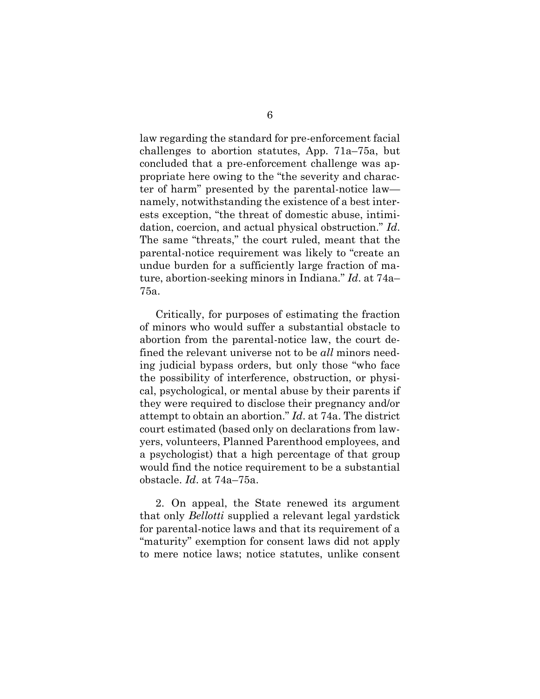law regarding the standard for pre-enforcement facial challenges to abortion statutes, App. 71a–75a, but concluded that a pre-enforcement challenge was appropriate here owing to the "the severity and character of harm" presented by the parental-notice law namely, notwithstanding the existence of a best interests exception, "the threat of domestic abuse, intimidation, coercion, and actual physical obstruction." *Id*. The same "threats," the court ruled, meant that the parental-notice requirement was likely to "create an undue burden for a sufficiently large fraction of mature, abortion-seeking minors in Indiana." *Id*. at 74a– 75a.

Critically, for purposes of estimating the fraction of minors who would suffer a substantial obstacle to abortion from the parental-notice law, the court defined the relevant universe not to be *all* minors needing judicial bypass orders, but only those "who face the possibility of interference, obstruction, or physical, psychological, or mental abuse by their parents if they were required to disclose their pregnancy and/or attempt to obtain an abortion." *Id*. at 74a. The district court estimated (based only on declarations from lawyers, volunteers, Planned Parenthood employees, and a psychologist) that a high percentage of that group would find the notice requirement to be a substantial obstacle. *Id*. at 74a–75a.

2. On appeal, the State renewed its argument that only *Bellotti* supplied a relevant legal yardstick for parental-notice laws and that its requirement of a "maturity" exemption for consent laws did not apply to mere notice laws; notice statutes, unlike consent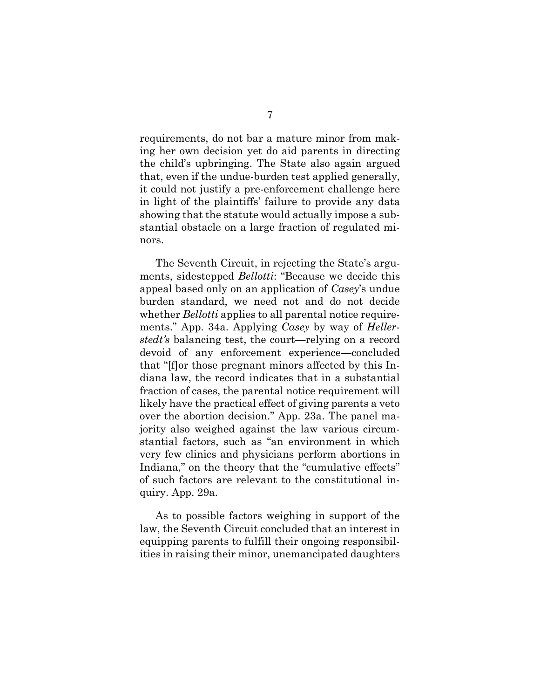requirements, do not bar a mature minor from making her own decision yet do aid parents in directing the child's upbringing. The State also again argued that, even if the undue-burden test applied generally, it could not justify a pre-enforcement challenge here in light of the plaintiffs' failure to provide any data showing that the statute would actually impose a substantial obstacle on a large fraction of regulated minors.

The Seventh Circuit, in rejecting the State's arguments, sidestepped *Bellotti*: "Because we decide this appeal based only on an application of *Casey*'s undue burden standard, we need not and do not decide whether *Bellotti* applies to all parental notice requirements." App. 34a. Applying *Casey* by way of *Hellerstedt's* balancing test, the court—relying on a record devoid of any enforcement experience—concluded that "[f]or those pregnant minors affected by this Indiana law, the record indicates that in a substantial fraction of cases, the parental notice requirement will likely have the practical effect of giving parents a veto over the abortion decision." App. 23a. The panel majority also weighed against the law various circumstantial factors, such as "an environment in which very few clinics and physicians perform abortions in Indiana," on the theory that the "cumulative effects" of such factors are relevant to the constitutional inquiry. App. 29a.

As to possible factors weighing in support of the law, the Seventh Circuit concluded that an interest in equipping parents to fulfill their ongoing responsibilities in raising their minor, unemancipated daughters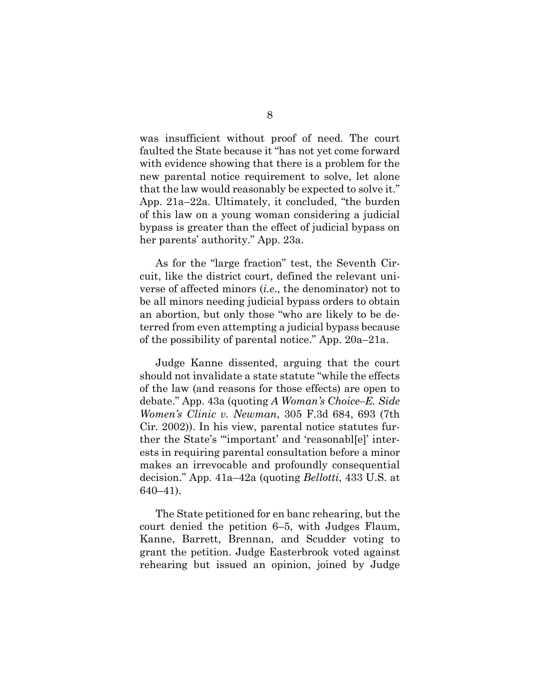was insufficient without proof of need. The court faulted the State because it "has not yet come forward with evidence showing that there is a problem for the new parental notice requirement to solve, let alone that the law would reasonably be expected to solve it." App. 21a–22a. Ultimately, it concluded, "the burden of this law on a young woman considering a judicial bypass is greater than the effect of judicial bypass on her parents' authority." App. 23a.

As for the "large fraction" test, the Seventh Circuit, like the district court, defined the relevant universe of affected minors (*i.e*., the denominator) not to be all minors needing judicial bypass orders to obtain an abortion, but only those "who are likely to be deterred from even attempting a judicial bypass because of the possibility of parental notice." App. 20a–21a.

Judge Kanne dissented, arguing that the court should not invalidate a state statute "while the effects of the law (and reasons for those effects) are open to debate." App. 43a (quoting *A Woman's Choice–E. Side Women's Clinic v. Newman*, 305 F.3d 684, 693 (7th Cir. 2002)). In his view, parental notice statutes further the State's "'important' and 'reasonabl[e]' interests in requiring parental consultation before a minor makes an irrevocable and profoundly consequential decision." App. 41a–42a (quoting *Bellotti*, 433 U.S. at 640–41).

The State petitioned for en banc rehearing, but the court denied the petition 6–5, with Judges Flaum, Kanne, Barrett, Brennan, and Scudder voting to grant the petition. Judge Easterbrook voted against rehearing but issued an opinion, joined by Judge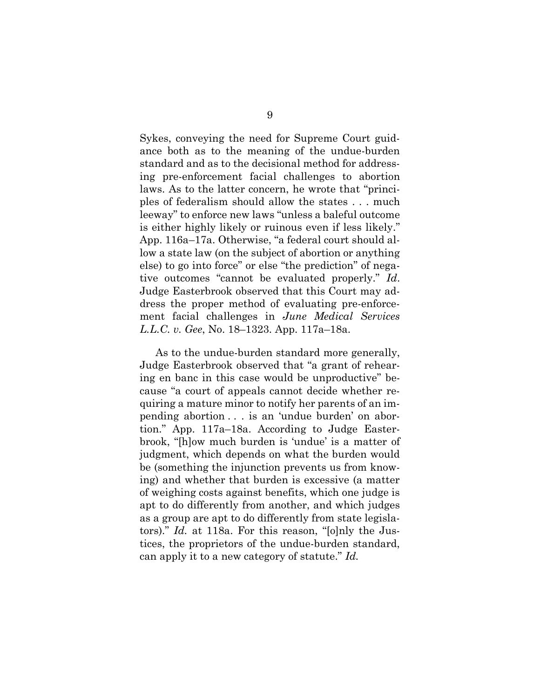Sykes, conveying the need for Supreme Court guidance both as to the meaning of the undue-burden standard and as to the decisional method for addressing pre-enforcement facial challenges to abortion laws. As to the latter concern, he wrote that "principles of federalism should allow the states . . . much leeway" to enforce new laws "unless a baleful outcome is either highly likely or ruinous even if less likely." App. 116a–17a. Otherwise, "a federal court should allow a state law (on the subject of abortion or anything else) to go into force" or else "the prediction" of negative outcomes "cannot be evaluated properly." *Id*. Judge Easterbrook observed that this Court may address the proper method of evaluating pre-enforcement facial challenges in *June Medical Services L.L.C. v. Gee*, No. 18–1323. App. 117a–18a.

As to the undue-burden standard more generally, Judge Easterbrook observed that "a grant of rehearing en banc in this case would be unproductive" because "a court of appeals cannot decide whether requiring a mature minor to notify her parents of an impending abortion . . . is an 'undue burden' on abortion." App. 117a–18a. According to Judge Easterbrook, "[h]ow much burden is 'undue' is a matter of judgment, which depends on what the burden would be (something the injunction prevents us from knowing) and whether that burden is excessive (a matter of weighing costs against benefits, which one judge is apt to do differently from another, and which judges as a group are apt to do differently from state legislators)." *Id.* at 118a. For this reason, "[o]nly the Justices, the proprietors of the undue-burden standard, can apply it to a new category of statute." *Id.*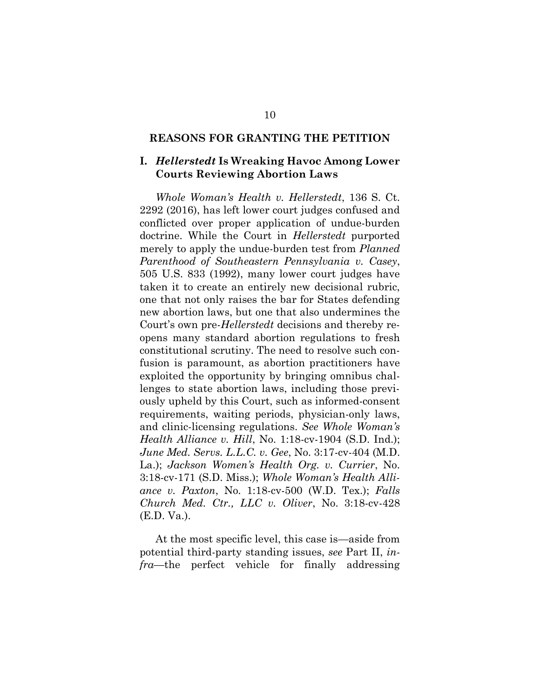#### **REASONS FOR GRANTING THE PETITION**

### **I.** *Hellerstedt* **Is Wreaking Havoc Among Lower Courts Reviewing Abortion Laws**

<span id="page-17-3"></span>*Whole Woman's Health v. Hellerstedt*, 136 S. Ct. 2292 (2016), has left lower court judges confused and conflicted over proper application of undue-burden doctrine. While the Court in *Hellerstedt* purported merely to apply the undue-burden test from *Planned Parenthood of Southeastern Pennsylvania v. Casey*, 505 U.S. 833 (1992), many lower court judges have taken it to create an entirely new decisional rubric, one that not only raises the bar for States defending new abortion laws, but one that also undermines the Court's own pre-*Hellerstedt* decisions and thereby reopens many standard abortion regulations to fresh constitutional scrutiny. The need to resolve such confusion is paramount, as abortion practitioners have exploited the opportunity by bringing omnibus challenges to state abortion laws, including those previously upheld by this Court, such as informed-consent requirements, waiting periods, physician-only laws, and clinic-licensing regulations. *See Whole Woman's Health Alliance v. Hill*, No. 1:18-cv-1904 (S.D. Ind.); *June Med. Servs. L.L.C. v. Gee*, No. 3:17-cv-404 (M.D. La.); *Jackson Women's Health Org. v. Currier*, No. 3:18-cv-171 (S.D. Miss.); *Whole Woman's Health Alliance v. Paxton*, No. 1:18-cv-500 (W.D. Tex.); *Falls Church Med. Ctr., LLC v. Oliver*, No. 3:18-cv-428 (E.D. Va.).

<span id="page-17-5"></span><span id="page-17-4"></span><span id="page-17-2"></span><span id="page-17-1"></span><span id="page-17-0"></span>At the most specific level, this case is—aside from potential third-party standing issues, *see* Part II, *infra*—the perfect vehicle for finally addressing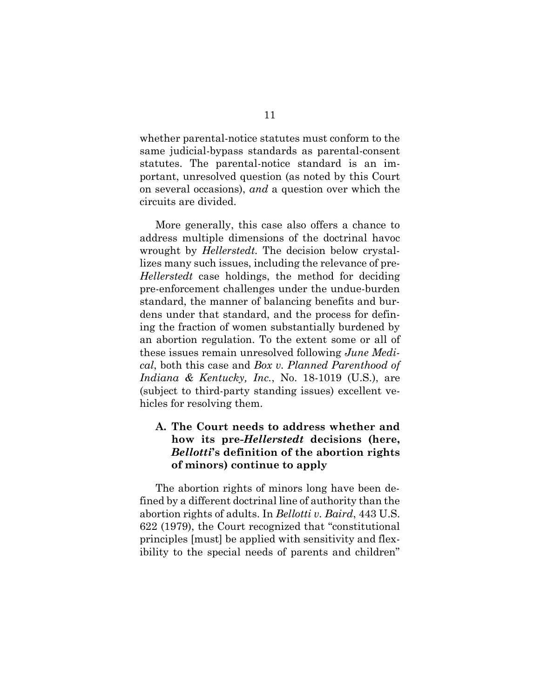whether parental-notice statutes must conform to the same judicial-bypass standards as parental-consent statutes. The parental-notice standard is an important, unresolved question (as noted by this Court on several occasions), *and* a question over which the circuits are divided.

More generally, this case also offers a chance to address multiple dimensions of the doctrinal havoc wrought by *Hellerstedt.* The decision below crystallizes many such issues, including the relevance of pre-*Hellerstedt* case holdings, the method for deciding pre-enforcement challenges under the undue-burden standard, the manner of balancing benefits and burdens under that standard, and the process for defining the fraction of women substantially burdened by an abortion regulation. To the extent some or all of these issues remain unresolved following *June Medical*, both this case and *Box v. Planned Parenthood of Indiana & Kentucky, Inc.*, No. 18-1019 (U.S.), are (subject to third-party standing issues) excellent vehicles for resolving them.

## <span id="page-18-0"></span>**A. The Court needs to address whether and how its pre-***Hellerstedt* **decisions (here,** *Bellotti***'s definition of the abortion rights of minors) continue to apply**

The abortion rights of minors long have been defined by a different doctrinal line of authority than the abortion rights of adults. In *Bellotti v. Baird*, 443 U.S. 622 (1979), the Court recognized that "constitutional principles [must] be applied with sensitivity and flexibility to the special needs of parents and children"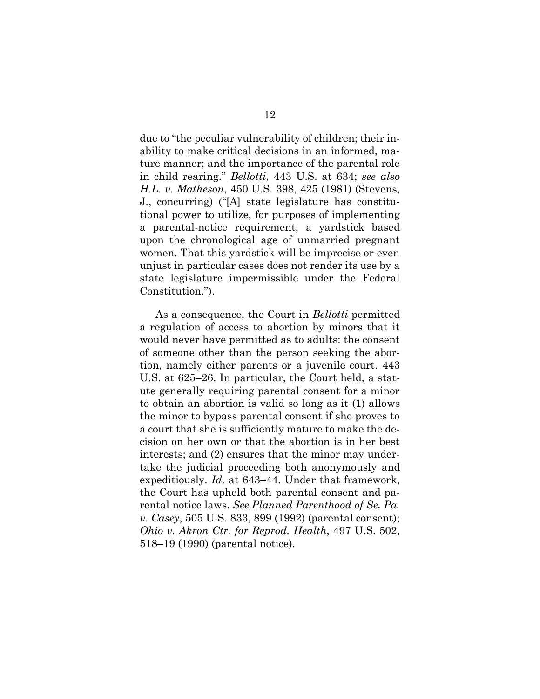<span id="page-19-0"></span>due to "the peculiar vulnerability of children; their inability to make critical decisions in an informed, mature manner; and the importance of the parental role in child rearing." *Bellotti*, 443 U.S. at 634; *see also H.L. v. Matheson*, 450 U.S. 398, 425 (1981) (Stevens, J., concurring) ("[A] state legislature has constitutional power to utilize, for purposes of implementing a parental-notice requirement, a yardstick based upon the chronological age of unmarried pregnant women. That this yardstick will be imprecise or even unjust in particular cases does not render its use by a state legislature impermissible under the Federal Constitution.").

<span id="page-19-2"></span><span id="page-19-1"></span>As a consequence, the Court in *Bellotti* permitted a regulation of access to abortion by minors that it would never have permitted as to adults: the consent of someone other than the person seeking the abortion, namely either parents or a juvenile court. 443 U.S. at 625–26. In particular, the Court held, a statute generally requiring parental consent for a minor to obtain an abortion is valid so long as it (1) allows the minor to bypass parental consent if she proves to a court that she is sufficiently mature to make the decision on her own or that the abortion is in her best interests; and (2) ensures that the minor may undertake the judicial proceeding both anonymously and expeditiously. *Id.* at 643–44. Under that framework, the Court has upheld both parental consent and parental notice laws. *See Planned Parenthood of Se. Pa. v. Casey*, 505 U.S. 833, 899 (1992) (parental consent); *Ohio v. Akron Ctr. for Reprod. Health*, 497 U.S. 502, 518–19 (1990) (parental notice).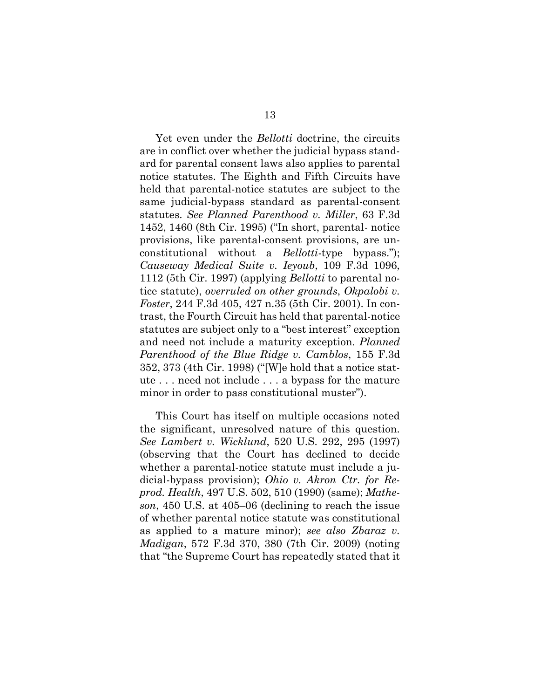<span id="page-20-4"></span><span id="page-20-0"></span>Yet even under the *Bellotti* doctrine, the circuits are in conflict over whether the judicial bypass standard for parental consent laws also applies to parental notice statutes. The Eighth and Fifth Circuits have held that parental-notice statutes are subject to the same judicial-bypass standard as parental-consent statutes. *See Planned Parenthood v. Miller*, 63 F.3d 1452, 1460 (8th Cir. 1995) ("In short, parental- notice provisions, like parental-consent provisions, are unconstitutional without a *Bellotti*-type bypass."); *Causeway Medical Suite v. Ieyoub*, 109 F.3d 1096, 1112 (5th Cir. 1997) (applying *Bellotti* to parental notice statute), *overruled on other grounds*, *Okpalobi v. Foster*, 244 F.3d 405, 427 n.35 (5th Cir. 2001). In contrast, the Fourth Circuit has held that parental-notice statutes are subject only to a "best interest" exception and need not include a maturity exception. *Planned Parenthood of the Blue Ridge v. Camblos*, 155 F.3d 352, 373 (4th Cir. 1998) ("[W]e hold that a notice statute . . . need not include . . . a bypass for the mature minor in order to pass constitutional muster").

<span id="page-20-5"></span><span id="page-20-3"></span><span id="page-20-2"></span><span id="page-20-1"></span>This Court has itself on multiple occasions noted the significant, unresolved nature of this question. *See Lambert v. Wicklund*, 520 U.S. 292, 295 (1997) (observing that the Court has declined to decide whether a parental-notice statute must include a judicial-bypass provision); *Ohio v. Akron Ctr. for Reprod. Health*, 497 U.S. 502, 510 (1990) (same); *Matheson*, 450 U.S. at 405–06 (declining to reach the issue of whether parental notice statute was constitutional as applied to a mature minor); *see also Zbaraz v. Madigan*, 572 F.3d 370, 380 (7th Cir. 2009) (noting that "the Supreme Court has repeatedly stated that it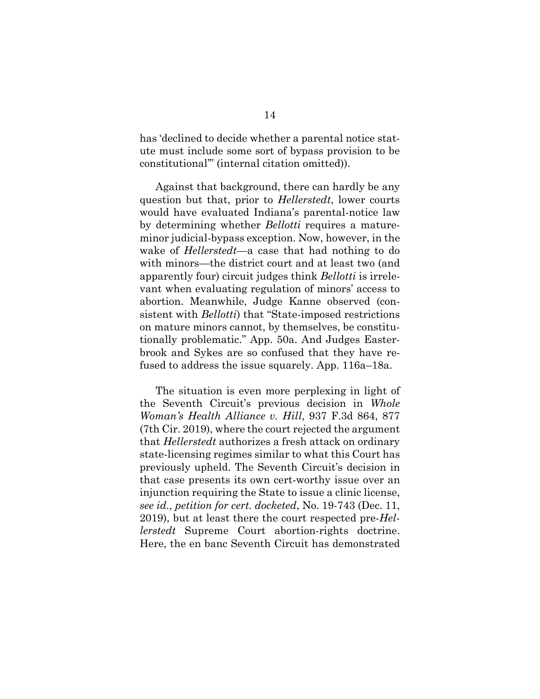has 'declined to decide whether a parental notice statute must include some sort of bypass provision to be constitutional'" (internal citation omitted)).

Against that background, there can hardly be any question but that, prior to *Hellerstedt*, lower courts would have evaluated Indiana's parental-notice law by determining whether *Bellotti* requires a matureminor judicial-bypass exception. Now, however, in the wake of *Hellerstedt*—a case that had nothing to do with minors—the district court and at least two (and apparently four) circuit judges think *Bellotti* is irrelevant when evaluating regulation of minors' access to abortion. Meanwhile, Judge Kanne observed (consistent with *Bellotti*) that "State-imposed restrictions on mature minors cannot, by themselves, be constitutionally problematic." App. 50a. And Judges Easterbrook and Sykes are so confused that they have refused to address the issue squarely. App. 116a–18a.

<span id="page-21-0"></span>The situation is even more perplexing in light of the Seventh Circuit's previous decision in *Whole Woman's Health Alliance v. Hill*, 937 F.3d 864, 877 (7th Cir. 2019), where the court rejected the argument that *Hellerstedt* authorizes a fresh attack on ordinary state-licensing regimes similar to what this Court has previously upheld. The Seventh Circuit's decision in that case presents its own cert-worthy issue over an injunction requiring the State to issue a clinic license, *see id., petition for cert. docketed*, No. 19-743 (Dec. 11, 2019), but at least there the court respected pre-*Hellerstedt* Supreme Court abortion-rights doctrine. Here, the en banc Seventh Circuit has demonstrated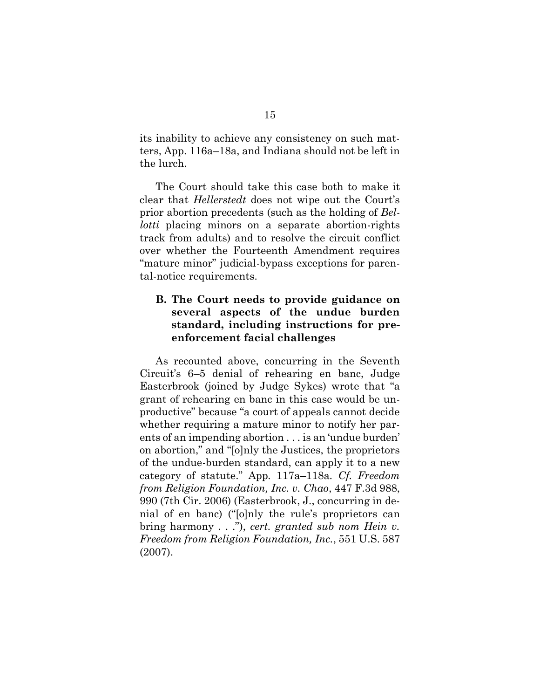its inability to achieve any consistency on such matters, App. 116a–18a, and Indiana should not be left in the lurch.

The Court should take this case both to make it clear that *Hellerstedt* does not wipe out the Court's prior abortion precedents (such as the holding of *Bellotti* placing minors on a separate abortion-rights track from adults) and to resolve the circuit conflict over whether the Fourteenth Amendment requires "mature minor" judicial-bypass exceptions for parental-notice requirements.

## <span id="page-22-1"></span>**B. The Court needs to provide guidance on several aspects of the undue burden standard, including instructions for preenforcement facial challenges**

<span id="page-22-0"></span>As recounted above, concurring in the Seventh Circuit's 6–5 denial of rehearing en banc, Judge Easterbrook (joined by Judge Sykes) wrote that "a grant of rehearing en banc in this case would be unproductive" because "a court of appeals cannot decide whether requiring a mature minor to notify her parents of an impending abortion . . . is an 'undue burden' on abortion," and "[o]nly the Justices, the proprietors of the undue-burden standard, can apply it to a new category of statute." App*.* 117a–118a*. Cf. Freedom from Religion Foundation, Inc. v. Chao*, 447 F.3d 988, 990 (7th Cir. 2006) (Easterbrook, J., concurring in denial of en banc) ("[o]nly the rule's proprietors can bring harmony . . ."), *cert. granted sub nom Hein v. Freedom from Religion Foundation, Inc.*, 551 U.S. 587 (2007).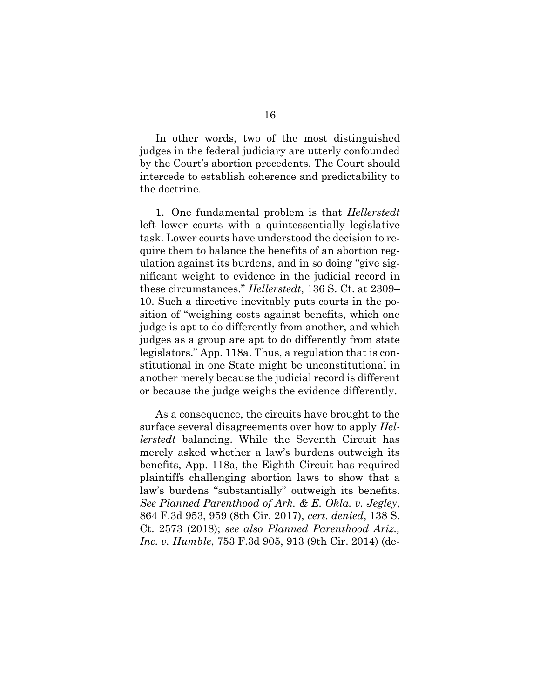In other words, two of the most distinguished judges in the federal judiciary are utterly confounded by the Court's abortion precedents. The Court should intercede to establish coherence and predictability to the doctrine.

1. One fundamental problem is that *Hellerstedt* left lower courts with a quintessentially legislative task. Lower courts have understood the decision to require them to balance the benefits of an abortion regulation against its burdens, and in so doing "give significant weight to evidence in the judicial record in these circumstances." *Hellerstedt*, 136 S. Ct. at 2309– 10. Such a directive inevitably puts courts in the position of "weighing costs against benefits, which one judge is apt to do differently from another, and which judges as a group are apt to do differently from state legislators." App. 118a. Thus, a regulation that is constitutional in one State might be unconstitutional in another merely because the judicial record is different or because the judge weighs the evidence differently.

<span id="page-23-1"></span><span id="page-23-0"></span>As a consequence, the circuits have brought to the surface several disagreements over how to apply *Hellerstedt* balancing. While the Seventh Circuit has merely asked whether a law's burdens outweigh its benefits, App. 118a, the Eighth Circuit has required plaintiffs challenging abortion laws to show that a law's burdens "substantially" outweigh its benefits. *See Planned Parenthood of Ark. & E. Okla. v. Jegley*, 864 F.3d 953, 959 (8th Cir. 2017), *cert. denied*, 138 S. Ct. 2573 (2018); *see also Planned Parenthood Ariz., Inc. v. Humble*, 753 F.3d 905, 913 (9th Cir. 2014) (de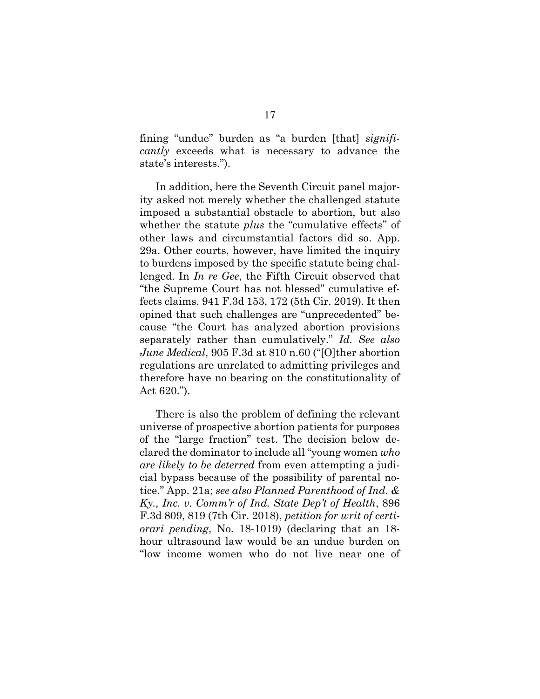fining "undue" burden as "a burden [that] *significantly* exceeds what is necessary to advance the state's interests.").

<span id="page-24-0"></span>In addition, here the Seventh Circuit panel majority asked not merely whether the challenged statute imposed a substantial obstacle to abortion, but also whether the statute *plus* the "cumulative effects" of other laws and circumstantial factors did so. App. 29a. Other courts, however, have limited the inquiry to burdens imposed by the specific statute being challenged. In *In re Gee*, the Fifth Circuit observed that "the Supreme Court has not blessed" cumulative effects claims. 941 F.3d 153, 172 (5th Cir. 2019). It then opined that such challenges are "unprecedented" because "the Court has analyzed abortion provisions separately rather than cumulatively." *Id. See also June Medical*, 905 F.3d at 810 n.60 ("[O]ther abortion regulations are unrelated to admitting privileges and therefore have no bearing on the constitutionality of Act 620.").

<span id="page-24-2"></span><span id="page-24-1"></span>There is also the problem of defining the relevant universe of prospective abortion patients for purposes of the "large fraction" test. The decision below declared the dominator to include all "young women *who are likely to be deterred* from even attempting a judicial bypass because of the possibility of parental notice." App. 21a; *see also Planned Parenthood of Ind. & Ky., Inc. v. Comm'r of Ind. State Dep't of Health*, 896 F.3d 809, 819 (7th Cir. 2018), *petition for writ of certiorari pending*, No. 18-1019) (declaring that an 18 hour ultrasound law would be an undue burden on "low income women who do not live near one of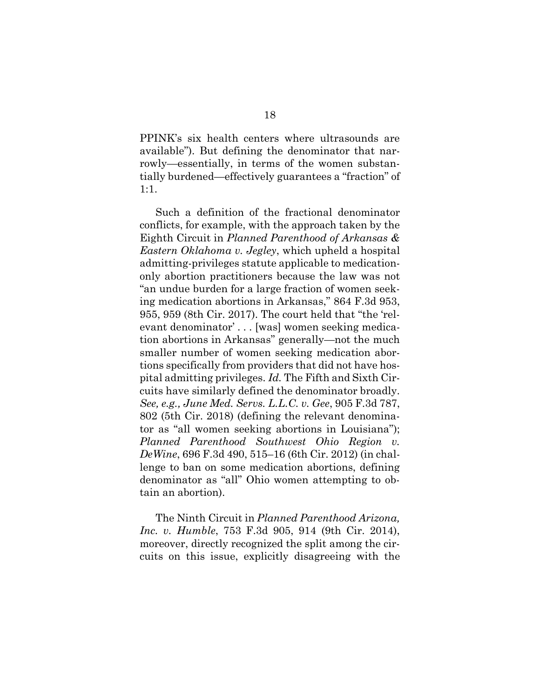PPINK's six health centers where ultrasounds are available"). But defining the denominator that narrowly—essentially, in terms of the women substantially burdened—effectively guarantees a "fraction" of 1:1.

Such a definition of the fractional denominator conflicts, for example, with the approach taken by the Eighth Circuit in *Planned Parenthood of Arkansas & Eastern Oklahoma v. Jegley*, which upheld a hospital admitting-privileges statute applicable to medicationonly abortion practitioners because the law was not "an undue burden for a large fraction of women seeking medication abortions in Arkansas," 864 F.3d 953, 955, 959 (8th Cir. 2017). The court held that "the 'relevant denominator' . . . [was] women seeking medication abortions in Arkansas" generally—not the much smaller number of women seeking medication abortions specifically from providers that did not have hospital admitting privileges. *Id.* The Fifth and Sixth Circuits have similarly defined the denominator broadly. *See, e.g., June Med. Servs. L.L.C. v. Gee*, 905 F.3d 787, 802 (5th Cir. 2018) (defining the relevant denominator as "all women seeking abortions in Louisiana"); *Planned Parenthood Southwest Ohio Region v. DeWine*, 696 F.3d 490, 515–16 (6th Cir. 2012) (in challenge to ban on some medication abortions, defining denominator as "all" Ohio women attempting to obtain an abortion).

<span id="page-25-2"></span><span id="page-25-1"></span><span id="page-25-0"></span>The Ninth Circuit in *Planned Parenthood Arizona, Inc. v. Humble*, 753 F.3d 905, 914 (9th Cir. 2014), moreover, directly recognized the split among the circuits on this issue, explicitly disagreeing with the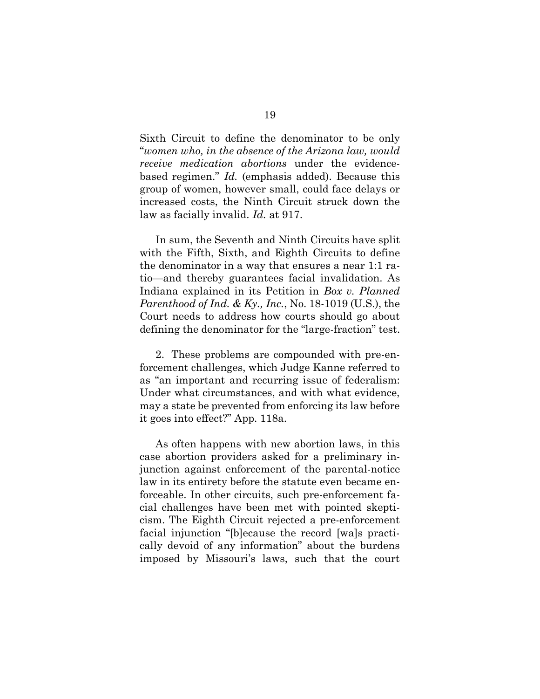<span id="page-26-1"></span>Sixth Circuit to define the denominator to be only "*women who, in the absence of the Arizona law, would receive medication abortions* under the evidencebased regimen." *Id.* (emphasis added). Because this group of women, however small, could face delays or increased costs, the Ninth Circuit struck down the law as facially invalid. *Id.* at 917.

<span id="page-26-0"></span>In sum, the Seventh and Ninth Circuits have split with the Fifth, Sixth, and Eighth Circuits to define the denominator in a way that ensures a near 1:1 ratio—and thereby guarantees facial invalidation. As Indiana explained in its Petition in *Box v. Planned Parenthood of Ind. & Ky., Inc.*, No. 18-1019 (U.S.), the Court needs to address how courts should go about defining the denominator for the "large-fraction" test.

2. These problems are compounded with pre-enforcement challenges, which Judge Kanne referred to as "an important and recurring issue of federalism: Under what circumstances, and with what evidence, may a state be prevented from enforcing its law before it goes into effect?" App. 118a.

As often happens with new abortion laws, in this case abortion providers asked for a preliminary injunction against enforcement of the parental-notice law in its entirety before the statute even became enforceable. In other circuits, such pre-enforcement facial challenges have been met with pointed skepticism. The Eighth Circuit rejected a pre-enforcement facial injunction "[b]ecause the record [wa]s practically devoid of any information" about the burdens imposed by Missouri's laws, such that the court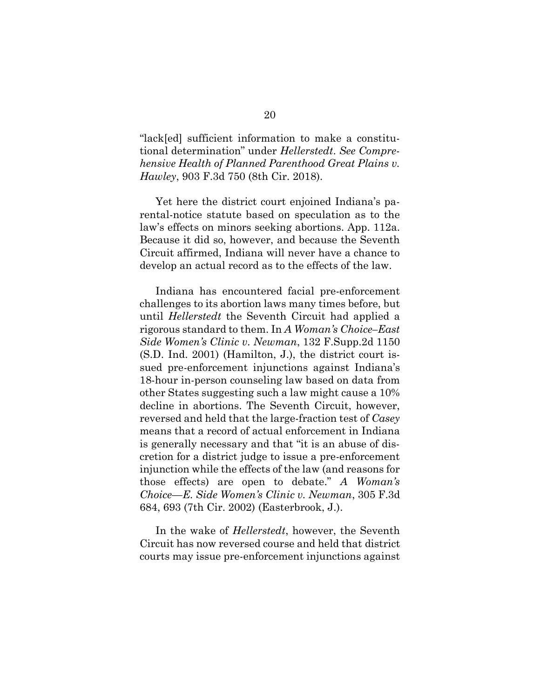<span id="page-27-2"></span>"lack[ed] sufficient information to make a constitutional determination" under *Hellerstedt*. *See Comprehensive Health of Planned Parenthood Great Plains v. Hawley*, 903 F.3d 750 (8th Cir. 2018).

Yet here the district court enjoined Indiana's parental-notice statute based on speculation as to the law's effects on minors seeking abortions. App. 112a. Because it did so, however, and because the Seventh Circuit affirmed, Indiana will never have a chance to develop an actual record as to the effects of the law.

<span id="page-27-0"></span>Indiana has encountered facial pre-enforcement challenges to its abortion laws many times before, but until *Hellerstedt* the Seventh Circuit had applied a rigorous standard to them. In *A Woman's Choice–East Side Women's Clinic v. Newman*, 132 F.Supp.2d 1150 (S.D. Ind. 2001) (Hamilton, J.), the district court issued pre-enforcement injunctions against Indiana's 18-hour in-person counseling law based on data from other States suggesting such a law might cause a 10% decline in abortions. The Seventh Circuit, however, reversed and held that the large-fraction test of *Casey*  means that a record of actual enforcement in Indiana is generally necessary and that "it is an abuse of discretion for a district judge to issue a pre-enforcement injunction while the effects of the law (and reasons for those effects) are open to debate." *A Woman's Choice—E. Side Women's Clinic v. Newman*, 305 F.3d 684, 693 (7th Cir. 2002) (Easterbrook, J.).

<span id="page-27-1"></span>In the wake of *Hellerstedt*, however, the Seventh Circuit has now reversed course and held that district courts may issue pre-enforcement injunctions against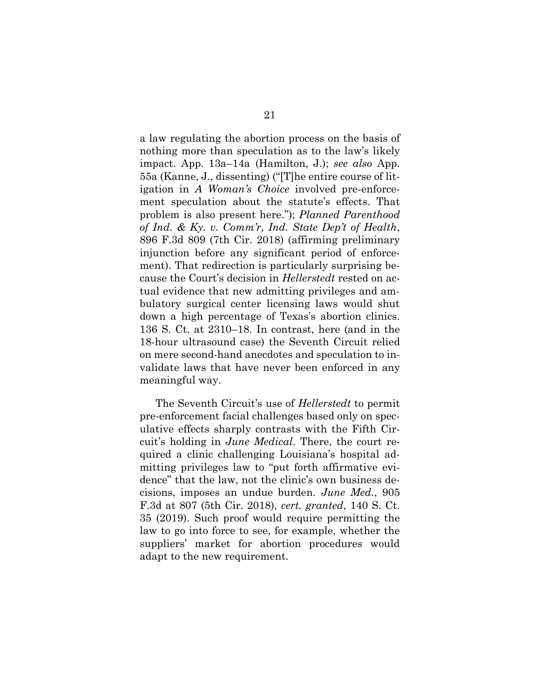<span id="page-28-1"></span>a law regulating the abortion process on the basis of nothing more than speculation as to the law's likely impact. App. 13a–14a (Hamilton, J.); *see also* App. 55a (Kanne, J., dissenting) ("[T]he entire course of litigation in *A Woman's Choice* involved pre-enforcement speculation about the statute's effects. That problem is also present here."); *Planned Parenthood of Ind. & Ky. v. Comm'r, Ind. State Dep't of Health*, 896 F.3d 809 (7th Cir. 2018) (affirming preliminary injunction before any significant period of enforcement). That redirection is particularly surprising because the Court's decision in *Hellerstedt* rested on actual evidence that new admitting privileges and ambulatory surgical center licensing laws would shut down a high percentage of Texas's abortion clinics. 136 S. Ct. at 2310–18. In contrast, here (and in the 18-hour ultrasound case) the Seventh Circuit relied on mere second-hand anecdotes and speculation to invalidate laws that have never been enforced in any meaningful way.

<span id="page-28-0"></span>The Seventh Circuit's use of *Hellerstedt* to permit pre-enforcement facial challenges based only on speculative effects sharply contrasts with the Fifth Circuit's holding in *June Medical*. There, the court required a clinic challenging Louisiana's hospital admitting privileges law to "put forth affirmative evidence" that the law, not the clinic's own business decisions, imposes an undue burden. *June Med.*, 905 F.3d at 807 (5th Cir. 2018), *cert. granted*, 140 S. Ct. 35 (2019). Such proof would require permitting the law to go into force to see, for example, whether the suppliers' market for abortion procedures would adapt to the new requirement.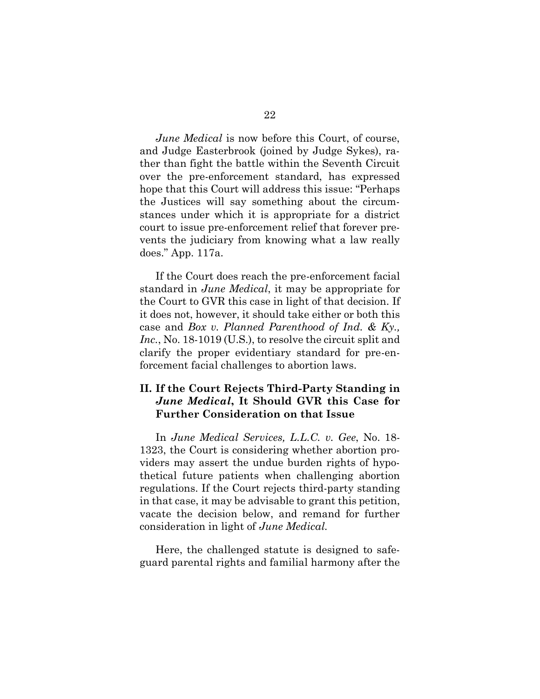*June Medical* is now before this Court, of course, and Judge Easterbrook (joined by Judge Sykes), rather than fight the battle within the Seventh Circuit over the pre-enforcement standard, has expressed hope that this Court will address this issue: "Perhaps the Justices will say something about the circumstances under which it is appropriate for a district court to issue pre-enforcement relief that forever prevents the judiciary from knowing what a law really does." App. 117a.

<span id="page-29-0"></span>If the Court does reach the pre-enforcement facial standard in *June Medical*, it may be appropriate for the Court to GVR this case in light of that decision. If it does not, however, it should take either or both this case and *Box v. Planned Parenthood of Ind. & Ky., Inc.*, No. 18-1019 (U.S.), to resolve the circuit split and clarify the proper evidentiary standard for pre-enforcement facial challenges to abortion laws.

## **II. If the Court Rejects Third-Party Standing in**  *June Medical***, It Should GVR this Case for Further Consideration on that Issue**

In *June Medical Services, L.L.C. v. Gee*, No. 18- 1323, the Court is considering whether abortion providers may assert the undue burden rights of hypothetical future patients when challenging abortion regulations. If the Court rejects third-party standing in that case, it may be advisable to grant this petition, vacate the decision below, and remand for further consideration in light of *June Medical.* 

Here, the challenged statute is designed to safeguard parental rights and familial harmony after the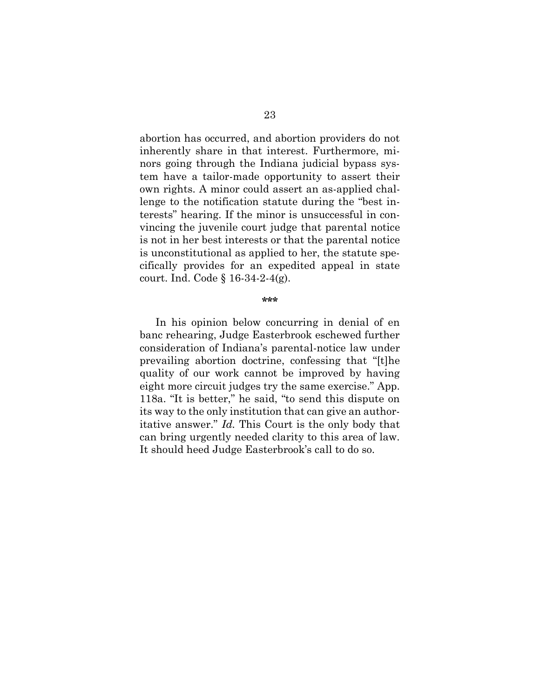abortion has occurred, and abortion providers do not inherently share in that interest. Furthermore, minors going through the Indiana judicial bypass system have a tailor-made opportunity to assert their own rights. A minor could assert an as-applied challenge to the notification statute during the "best interests" hearing. If the minor is unsuccessful in convincing the juvenile court judge that parental notice is not in her best interests or that the parental notice is unconstitutional as applied to her, the statute specifically provides for an expedited appeal in state court. Ind. Code § 16-34-2-4(g).

#### **\*\*\***

<span id="page-30-0"></span>In his opinion below concurring in denial of en banc rehearing, Judge Easterbrook eschewed further consideration of Indiana's parental-notice law under prevailing abortion doctrine, confessing that "[t]he quality of our work cannot be improved by having eight more circuit judges try the same exercise." App. 118a. "It is better," he said, "to send this dispute on its way to the only institution that can give an authoritative answer." *Id.* This Court is the only body that can bring urgently needed clarity to this area of law. It should heed Judge Easterbrook's call to do so.